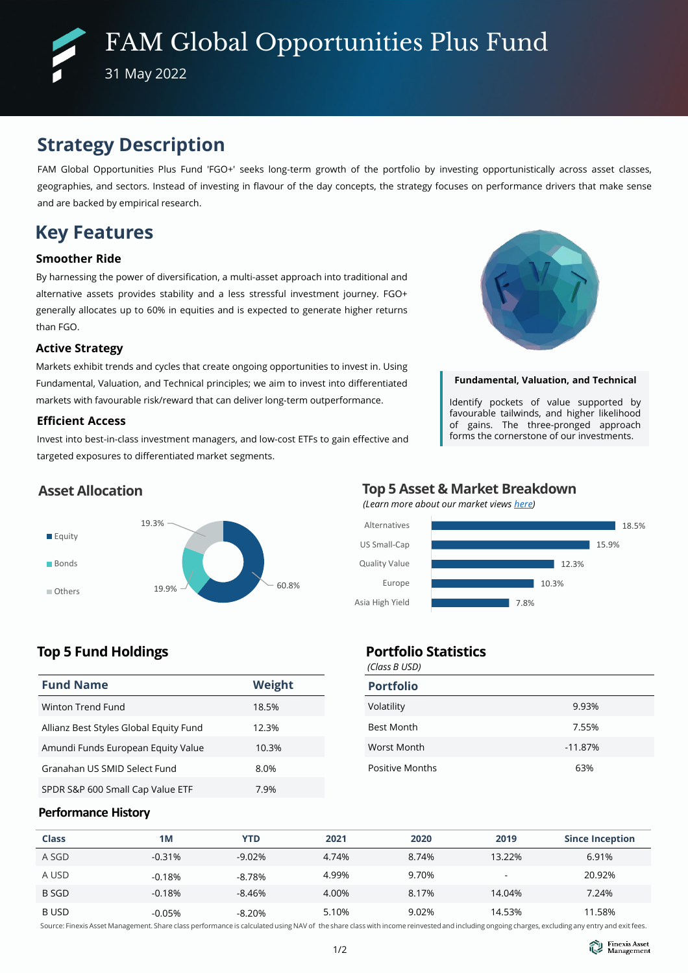# **Strategy Description**

FAM Global Opportunities Plus Fund 'FGO+' seeks long-term growth of the portfolio by investing opportunistically across asset classes, geographies, and sectors. Instead of investing in flavour of the day concepts, the strategy focuses on performance drivers that make sense and are backed by empirical research.

# **Key Features**

### **Smoother Ride**

By harnessing the power of diversification, a multi-asset approach into traditional and alternative assets provides stability and a less stressful investment journey. FGO+ generally allocates up to 60% in equities and is expected to generate higher returns than FGO.

#### **Active Strategy**

Markets exhibit trends and cycles that create ongoing opportunities to invest in. Using Fundamental, Valuation, and Technical principles; we aim to invest into differentiated markets with favourable risk/reward that can deliver long-term outperformance.

#### **Efficient Access**

Invest into best-in-class investment managers, and low-cost ETFs to gain effective and targeted exposures to differentiated market segments.



#### **Fundamental, Valuation, and Technical**

Identify pockets of value supported by favourable tailwinds, and higher likelihood of gains. The three-pronged approach forms the cornerstone of our investments.

### **Asset Allocation**



## **Top 5 Asset & Market Breakdown**

*(Learn more about our market views [here\)](https://www.finexisam.com/publication/monthly/FAM_Commentary_Detailed%20Report_202206.pdf)*



## **Top 5 Fund Holdings**

| <b>Fund Name</b>                       | Weight |
|----------------------------------------|--------|
| Winton Trend Fund                      | 18.5%  |
| Allianz Best Styles Global Equity Fund | 12.3%  |
| Amundi Funds European Equity Value     | 10.3%  |
| Granahan US SMID Select Fund           | 8.0%   |
| SPDR S&P 600 Small Cap Value ETF       | 7.9%   |

#### *(Class B USD)* **Portfolio Statistics**

| $1$ Cruss D OSD, |  |  |  |  |
|------------------|--|--|--|--|
|                  |  |  |  |  |
| 9.93%            |  |  |  |  |
| 7.55%            |  |  |  |  |
| $-11.87%$        |  |  |  |  |
| 63%              |  |  |  |  |
|                  |  |  |  |  |

#### **Performance History**

| <b>Class</b> | 1M       | <b>YTD</b> | 2021  | 2020  | 2019   | <b>Since Inception</b> |
|--------------|----------|------------|-------|-------|--------|------------------------|
| A SGD        | $-0.31%$ | $-9.02%$   | 4.74% | 8.74% | 13.22% | 6.91%                  |
| A USD        | $-0.18%$ | -8.78%     | 4.99% | 9.70% |        | 20.92%                 |
| <b>B SGD</b> | $-0.18%$ | $-8.46%$   | 4.00% | 8.17% | 14.04% | 7.24%                  |
| B USD        | $-0.05%$ | $-8.20%$   | 5.10% | 9.02% | 14.53% | 11.58%                 |

Source: Finexis Asset Management. Share class performance is calculated using NAV of the share class with income reinvested and including ongoing charges, excluding any entry and exit fees.